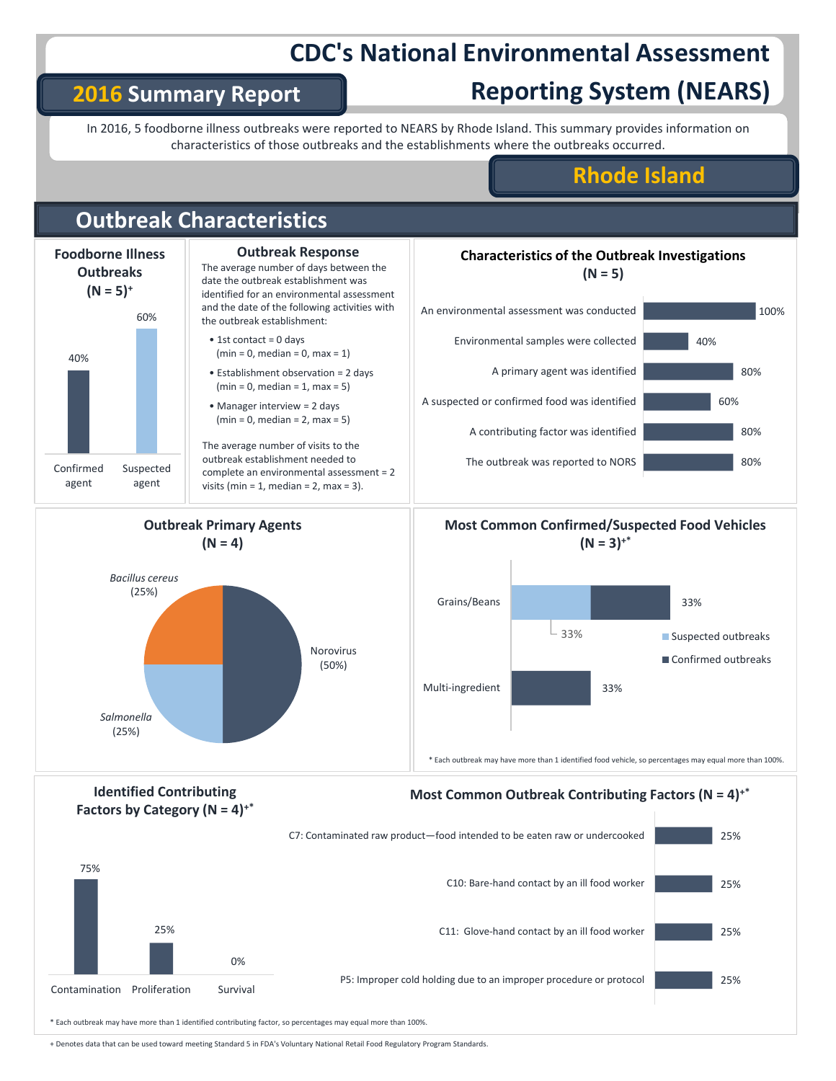# **CDC's National Environmental Assessment**

## **2016 Summary Report**

# **Reporting System (NEARS)**

In 2016, 5 foodborne illness outbreaks were reported to NEARS by Rhode Island. This summary provides information on characteristics of those outbreaks and the establishments where the outbreaks occurred.

## **Rhode Island**



+ Denotes data that can be used toward meeting Standard 5 in FDA's Voluntary National Retail Food Regulatory Program Standards.